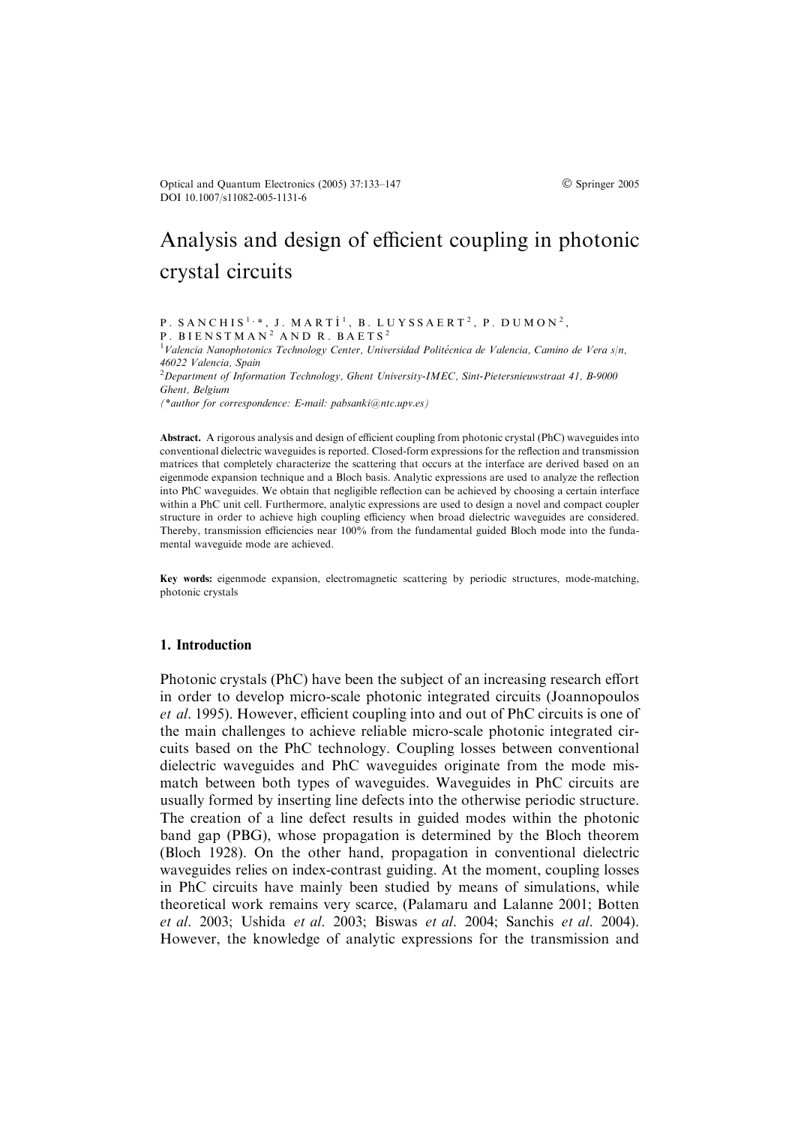Optical and Quantum Electronics (2005) 37:133–147 Springer 2005 DOI 10.1007/s11082-005-1131-6

# Analysis and design of efficient coupling in photonic crystal circuits

P. SANCHIS<sup>1,\*</sup>, J. MARTI<sup>1</sup>, B. LUYSSAERT<sup>2</sup>, P. DUMON<sup>2</sup>, P. BIENSTMAN<sup>2</sup> AND R. BAETS<sup>2</sup>

<sup>1</sup>Valencia Nanophotonics Technology Center, Universidad Politécnica de Valencia, Camino de Vera s/n, 46022 Valencia, Spain

 $2$ Department of Information Technology, Ghent University-IMEC, Sint-Pietersnieuwstraat 41, B-9000 Ghent, Belgium

(\*author for correspondence: E-mail: pabsanki@ntc.upv.es)

Abstract. A rigorous analysis and design of efficient coupling from photonic crystal (PhC) waveguides into conventional dielectric waveguides is reported. Closed-form expressions for the reflection and transmission matrices that completely characterize the scattering that occurs at the interface are derived based on an eigenmode expansion technique and a Bloch basis. Analytic expressions are used to analyze the reflection into PhC waveguides. We obtain that negligible reflection can be achieved by choosing a certain interface within a PhC unit cell. Furthermore, analytic expressions are used to design a novel and compact coupler structure in order to achieve high coupling efficiency when broad dielectric waveguides are considered. Thereby, transmission efficiencies near 100% from the fundamental guided Bloch mode into the fundamental waveguide mode are achieved.

Key words: eigenmode expansion, electromagnetic scattering by periodic structures, mode-matching, photonic crystals

#### 1. Introduction

Photonic crystals (PhC) have been the subject of an increasing research effort in order to develop micro-scale photonic integrated circuits (Joannopoulos et al. 1995). However, efficient coupling into and out of PhC circuits is one of the main challenges to achieve reliable micro-scale photonic integrated circuits based on the PhC technology. Coupling losses between conventional dielectric waveguides and PhC waveguides originate from the mode mismatch between both types of waveguides. Waveguides in PhC circuits are usually formed by inserting line defects into the otherwise periodic structure. The creation of a line defect results in guided modes within the photonic band gap (PBG), whose propagation is determined by the Bloch theorem (Bloch 1928). On the other hand, propagation in conventional dielectric waveguides relies on index-contrast guiding. At the moment, coupling losses in PhC circuits have mainly been studied by means of simulations, while theoretical work remains very scarce, (Palamaru and Lalanne 2001; Botten et al. 2003; Ushida et al. 2003; Biswas et al. 2004; Sanchis et al. 2004). However, the knowledge of analytic expressions for the transmission and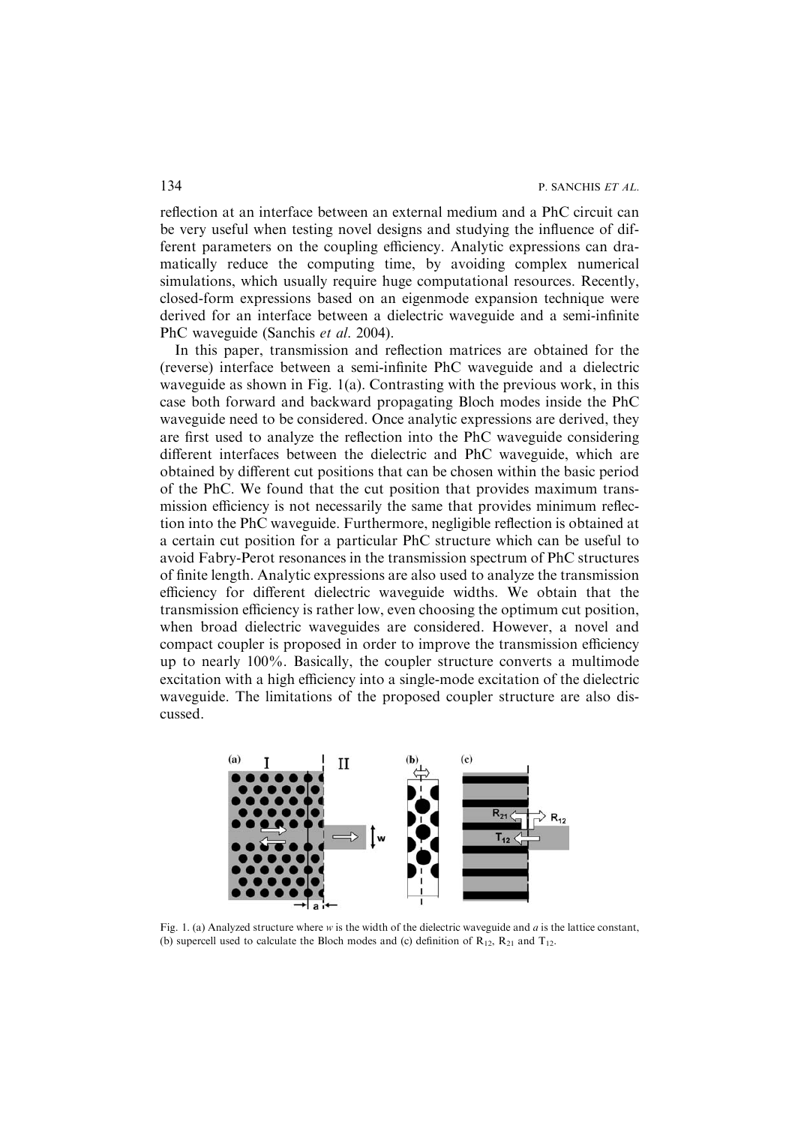reflection at an interface between an external medium and a PhC circuit can be very useful when testing novel designs and studying the influence of different parameters on the coupling efficiency. Analytic expressions can dramatically reduce the computing time, by avoiding complex numerical simulations, which usually require huge computational resources. Recently, closed-form expressions based on an eigenmode expansion technique were derived for an interface between a dielectric waveguide and a semi-infinite PhC waveguide (Sanchis et al. 2004).

In this paper, transmission and reflection matrices are obtained for the (reverse) interface between a semi-infinite PhC waveguide and a dielectric waveguide as shown in Fig. 1(a). Contrasting with the previous work, in this case both forward and backward propagating Bloch modes inside the PhC waveguide need to be considered. Once analytic expressions are derived, they are first used to analyze the reflection into the PhC waveguide considering different interfaces between the dielectric and PhC waveguide, which are obtained by different cut positions that can be chosen within the basic period of the PhC. We found that the cut position that provides maximum transmission efficiency is not necessarily the same that provides minimum reflection into the PhC waveguide. Furthermore, negligible reflection is obtained at a certain cut position for a particular PhC structure which can be useful to avoid Fabry-Perot resonances in the transmission spectrum of PhC structures of finite length. Analytic expressions are also used to analyze the transmission efficiency for different dielectric waveguide widths. We obtain that the transmission efficiency is rather low, even choosing the optimum cut position, when broad dielectric waveguides are considered. However, a novel and compact coupler is proposed in order to improve the transmission efficiency up to nearly 100%. Basically, the coupler structure converts a multimode excitation with a high efficiency into a single-mode excitation of the dielectric waveguide. The limitations of the proposed coupler structure are also discussed.



Fig. 1. (a) Analyzed structure where w is the width of the dielectric waveguide and a is the lattice constant, (b) supercell used to calculate the Bloch modes and (c) definition of  $R_{12}$ ,  $R_{21}$  and  $T_{12}$ .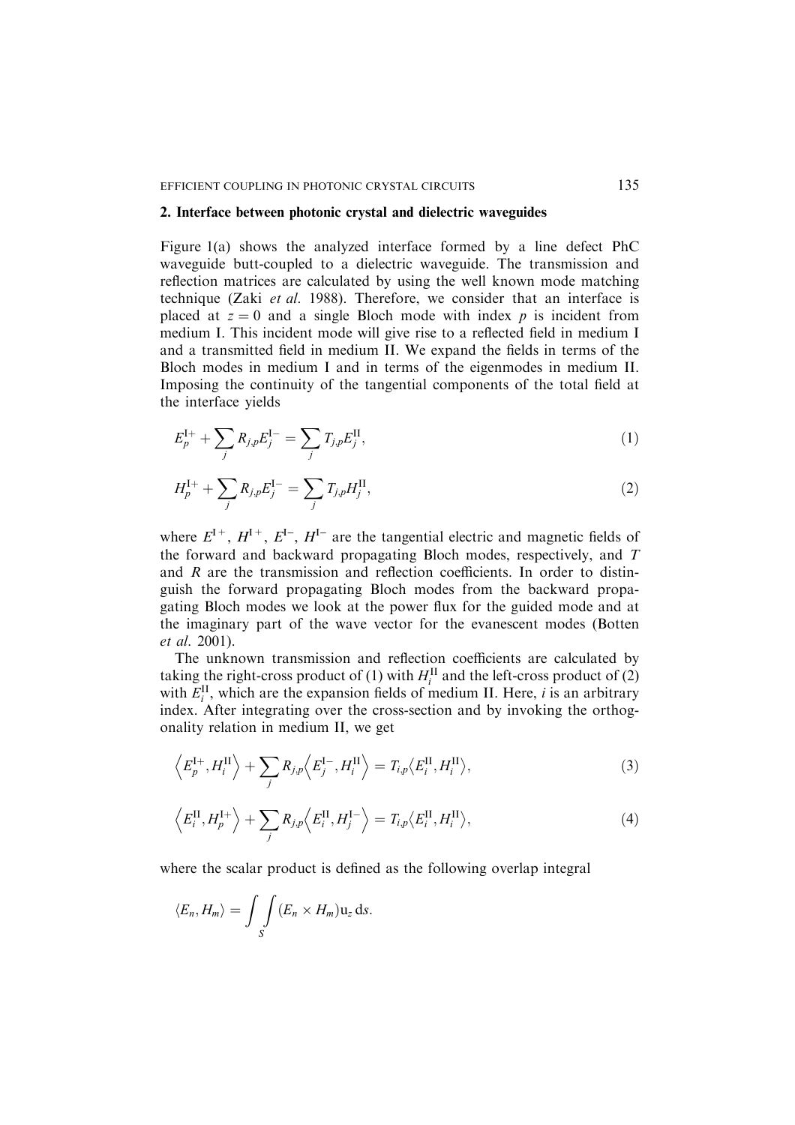#### 2. Interface between photonic crystal and dielectric waveguides

Figure 1(a) shows the analyzed interface formed by a line defect PhC waveguide butt-coupled to a dielectric waveguide. The transmission and reflection matrices are calculated by using the well known mode matching technique (Zaki et al. 1988). Therefore, we consider that an interface is placed at  $z = 0$  and a single Bloch mode with index p is incident from medium I. This incident mode will give rise to a reflected field in medium I and a transmitted field in medium II. We expand the fields in terms of the Bloch modes in medium I and in terms of the eigenmodes in medium II. Imposing the continuity of the tangential components of the total field at the interface yields

$$
E_p^{I+} + \sum_j R_{j,p} E_j^{I-} = \sum_j T_{j,p} E_j^{II}, \qquad (1)
$$

$$
H_p^{\rm I+} + \sum_j R_{j,p} E_j^{\rm I-} = \sum_j T_{j,p} H_j^{\rm II},\tag{2}
$$

where  $E^{I+}$ ,  $H^{I+}$ ,  $E^{I-}$ ,  $H^{I-}$  are the tangential electric and magnetic fields of the forward and backward propagating Bloch modes, respectively, and T and R are the transmission and reflection coefficients. In order to distinguish the forward propagating Bloch modes from the backward propagating Bloch modes we look at the power flux for the guided mode and at the imaginary part of the wave vector for the evanescent modes (Botten et al. 2001).

The unknown transmission and reflection coefficients are calculated by taking the right-cross product of (1) with  $H_i^{\text{II}}$  and the left-cross product of (2) with  $E_i^{\text{II}}$ , which are the expansion fields of medium II. Here, *i* is an arbitrary index. After integrating over the cross-section and by invoking the orthogonality relation in medium II, we get

$$
\left\langle E_p^{\mathrm{I}+}, H_i^{\mathrm{II}} \right\rangle + \sum_j R_{j,p} \left\langle E_j^{\mathrm{I}-}, H_i^{\mathrm{II}} \right\rangle = T_{i,p} \left\langle E_i^{\mathrm{II}}, H_i^{\mathrm{II}} \right\rangle, \tag{3}
$$

$$
\left\langle E_i^{\rm II}, H_p^{\rm I+} \right\rangle + \sum_j R_{j,p} \left\langle E_i^{\rm II}, H_j^{\rm I-} \right\rangle = T_{i,p} \left\langle E_i^{\rm II}, H_i^{\rm II} \right\rangle, \tag{4}
$$

where the scalar product is defined as the following overlap integral

$$
\langle E_n, H_m \rangle = \int_S \int (E_n \times H_m) \mathbf{u}_z \, \mathrm{d} s.
$$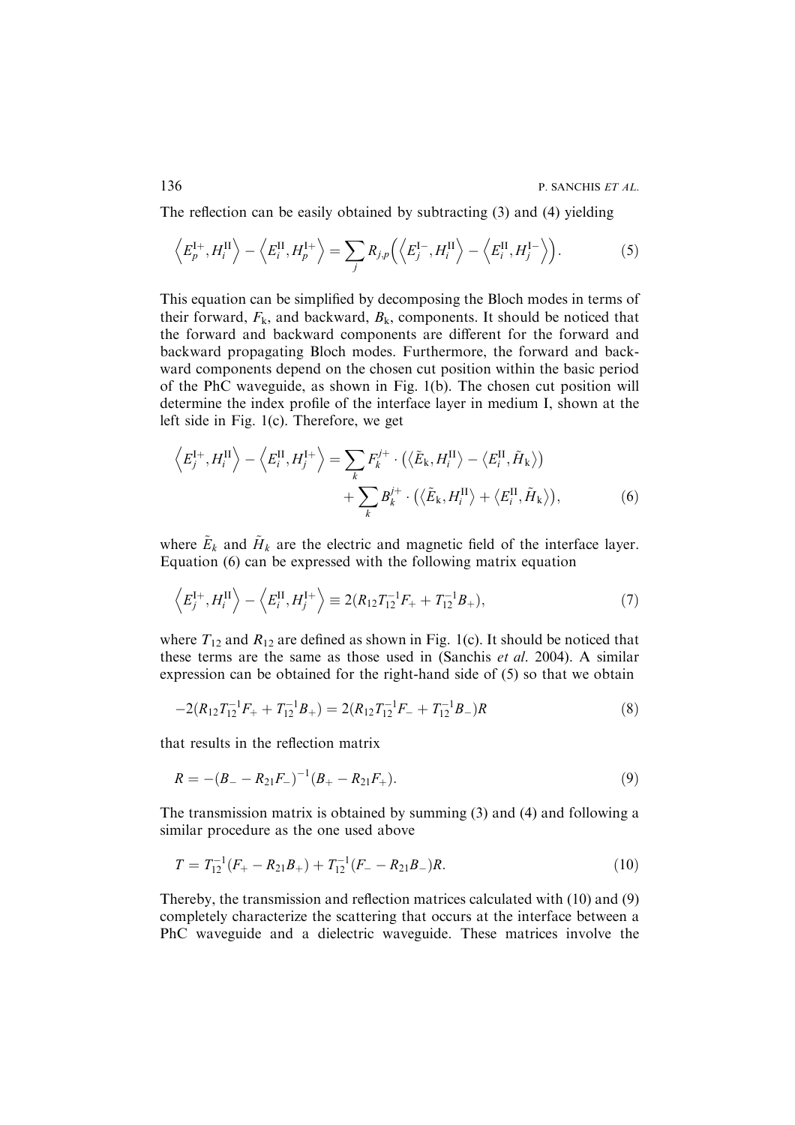136 P. SANCHIS ET AL.

The reflection can be easily obtained by subtracting (3) and (4) yielding

$$
\left\langle E_p^{\mathrm{I}+}, H_i^{\mathrm{II}} \right\rangle - \left\langle E_i^{\mathrm{II}}, H_p^{\mathrm{I}+} \right\rangle = \sum_j R_{j,p} \left( \left\langle E_j^{\mathrm{I} -}, H_i^{\mathrm{II}} \right\rangle - \left\langle E_i^{\mathrm{II}}, H_j^{\mathrm{I} -} \right\rangle \right). \tag{5}
$$

This equation can be simplified by decomposing the Bloch modes in terms of their forward,  $F_k$ , and backward,  $B_k$ , components. It should be noticed that the forward and backward components are different for the forward and backward propagating Bloch modes. Furthermore, the forward and backward components depend on the chosen cut position within the basic period of the PhC waveguide, as shown in Fig. 1(b). The chosen cut position will determine the index profile of the interface layer in medium I, shown at the left side in Fig. 1(c). Therefore, we get

$$
\left\langle E_j^{\mathrm{I}+}, H_i^{\mathrm{II}} \right\rangle - \left\langle E_i^{\mathrm{II}}, H_j^{\mathrm{I}+} \right\rangle = \sum_k F_k^{j+} \cdot \left( \left\langle \tilde{E}_k, H_i^{\mathrm{II}} \right\rangle - \left\langle E_i^{\mathrm{II}}, \tilde{H}_k \right\rangle \right) + \sum_k B_k^{j+} \cdot \left( \left\langle \tilde{E}_k, H_i^{\mathrm{II}} \right\rangle + \left\langle E_i^{\mathrm{II}}, \tilde{H}_k \right\rangle \right),
$$
(6)

where  $\tilde{E}_k$  and  $\tilde{H}_k$  are the electric and magnetic field of the interface layer. Equation (6) can be expressed with the following matrix equation

$$
\left\langle E_j^{I+}, H_i^{II} \right\rangle - \left\langle E_i^{II}, H_j^{I+} \right\rangle \equiv 2(R_{12}T_{12}^{-1}F_+ + T_{12}^{-1}B_+),\tag{7}
$$

where  $T_{12}$  and  $R_{12}$  are defined as shown in Fig. 1(c). It should be noticed that these terms are the same as those used in (Sanchis et al. 2004). A similar expression can be obtained for the right-hand side of (5) so that we obtain

$$
-2(R_{12}T_{12}^{-1}F_{+}+T_{12}^{-1}B_{+})=2(R_{12}T_{12}^{-1}F_{-}+T_{12}^{-1}B_{-})R
$$
\n(8)

that results in the reflection matrix

$$
R = -(B_{-} - R_{21}F_{-})^{-1}(B_{+} - R_{21}F_{+}).
$$
\n(9)

The transmission matrix is obtained by summing (3) and (4) and following a similar procedure as the one used above

$$
T = T_{12}^{-1}(F_{+} - R_{21}B_{+}) + T_{12}^{-1}(F_{-} - R_{21}B_{-})R.
$$
\n(10)

Thereby, the transmission and reflection matrices calculated with (10) and (9) completely characterize the scattering that occurs at the interface between a PhC waveguide and a dielectric waveguide. These matrices involve the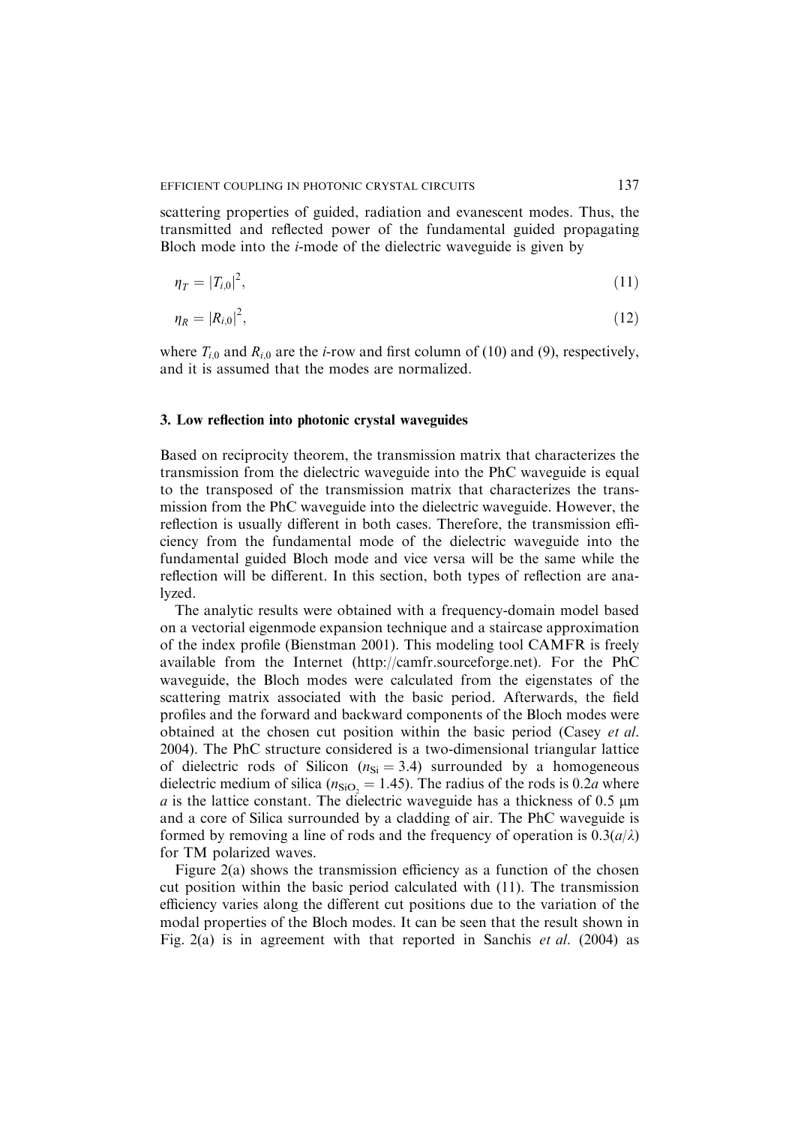scattering properties of guided, radiation and evanescent modes. Thus, the transmitted and reflected power of the fundamental guided propagating Bloch mode into the i-mode of the dielectric waveguide is given by

$$
\eta_T = |T_{i,0}|^2,\tag{11}
$$

$$
\eta_R = |R_{i,0}|^2,\tag{12}
$$

where  $T_{i,0}$  and  $R_{i,0}$  are the *i*-row and first column of (10) and (9), respectively, and it is assumed that the modes are normalized.

## 3. Low reflection into photonic crystal waveguides

Based on reciprocity theorem, the transmission matrix that characterizes the transmission from the dielectric waveguide into the PhC waveguide is equal to the transposed of the transmission matrix that characterizes the transmission from the PhC waveguide into the dielectric waveguide. However, the reflection is usually different in both cases. Therefore, the transmission efficiency from the fundamental mode of the dielectric waveguide into the fundamental guided Bloch mode and vice versa will be the same while the reflection will be different. In this section, both types of reflection are analyzed.

The analytic results were obtained with a frequency-domain model based on a vectorial eigenmode expansion technique and a staircase approximation of the index profile (Bienstman 2001). This modeling tool CAMFR is freely available from the Internet (http://camfr.sourceforge.net). For the PhC waveguide, the Bloch modes were calculated from the eigenstates of the scattering matrix associated with the basic period. Afterwards, the field profiles and the forward and backward components of the Bloch modes were obtained at the chosen cut position within the basic period (Casey et al. 2004). The PhC structure considered is a two-dimensional triangular lattice of dielectric rods of Silicon ( $n_{\rm Si} = 3.4$ ) surrounded by a homogeneous dielectric medium of silica ( $n_{SiO<sub>2</sub>}$  = 1.45). The radius of the rods is 0.2*a* where  $a$  is the lattice constant. The dielectric waveguide has a thickness of 0.5  $\mu$ m and a core of Silica surrounded by a cladding of air. The PhC waveguide is formed by removing a line of rods and the frequency of operation is  $0.3(a/\lambda)$ for TM polarized waves.

Figure 2(a) shows the transmission efficiency as a function of the chosen cut position within the basic period calculated with (11). The transmission efficiency varies along the different cut positions due to the variation of the modal properties of the Bloch modes. It can be seen that the result shown in Fig. 2(a) is in agreement with that reported in Sanchis *et al.* (2004) as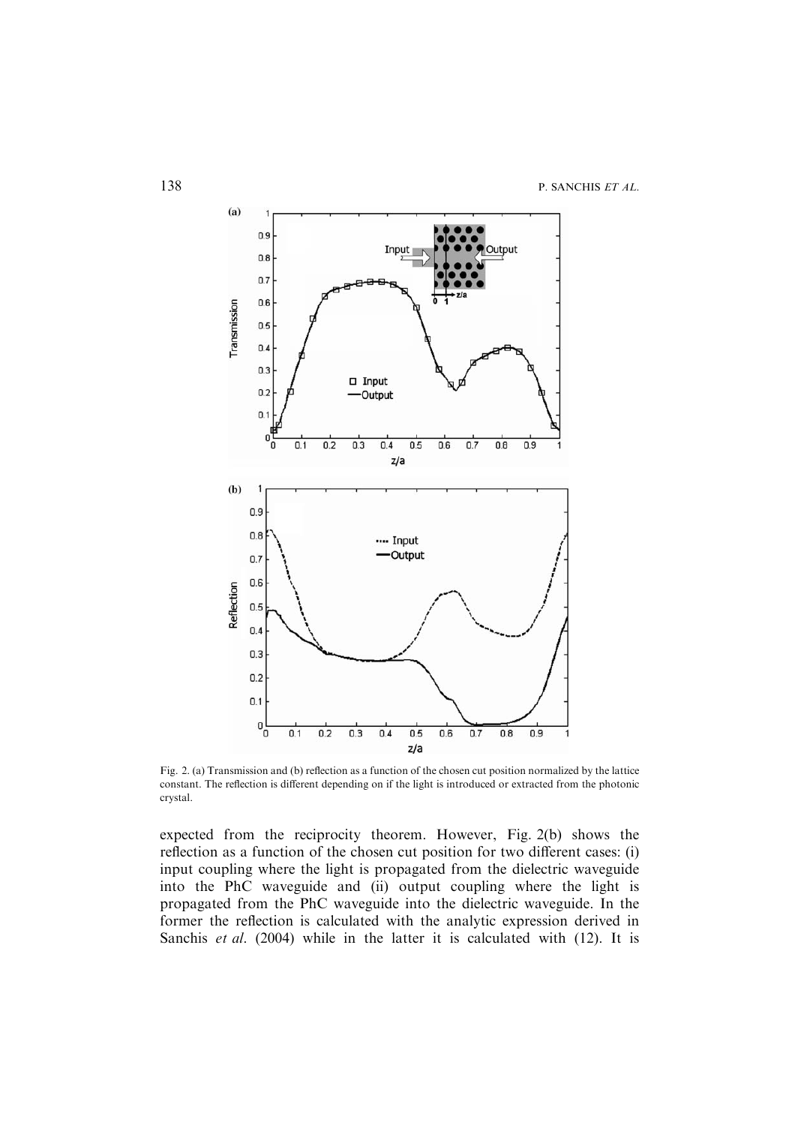

Fig. 2. (a) Transmission and (b) reflection as a function of the chosen cut position normalized by the lattice constant. The reflection is different depending on if the light is introduced or extracted from the photonic crystal.

expected from the reciprocity theorem. However, Fig. 2(b) shows the reflection as a function of the chosen cut position for two different cases: (i) input coupling where the light is propagated from the dielectric waveguide into the PhC waveguide and (ii) output coupling where the light is propagated from the PhC waveguide into the dielectric waveguide. In the former the reflection is calculated with the analytic expression derived in Sanchis et al. (2004) while in the latter it is calculated with (12). It is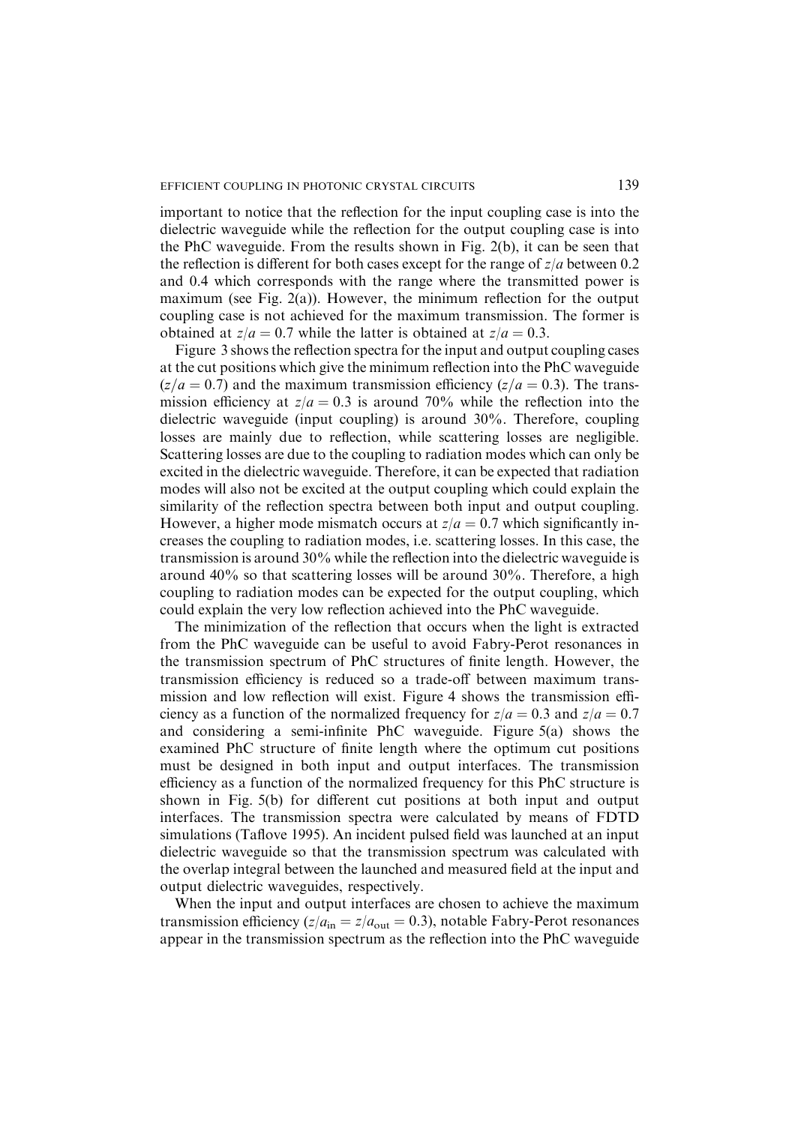important to notice that the reflection for the input coupling case is into the dielectric waveguide while the reflection for the output coupling case is into the PhC waveguide. From the results shown in Fig. 2(b), it can be seen that the reflection is different for both cases except for the range of  $z/a$  between 0.2 and 0.4 which corresponds with the range where the transmitted power is maximum (see Fig. 2(a)). However, the minimum reflection for the output coupling case is not achieved for the maximum transmission. The former is obtained at  $z/a = 0.7$  while the latter is obtained at  $z/a = 0.3$ .

Figure 3 shows the reflection spectra for the input and output coupling cases at the cut positions which give the minimum reflection into the PhC waveguide  $(z/a = 0.7)$  and the maximum transmission efficiency  $(z/a = 0.3)$ . The transmission efficiency at  $z/a = 0.3$  is around 70% while the reflection into the dielectric waveguide (input coupling) is around 30%. Therefore, coupling losses are mainly due to reflection, while scattering losses are negligible. Scattering losses are due to the coupling to radiation modes which can only be excited in the dielectric waveguide. Therefore, it can be expected that radiation modes will also not be excited at the output coupling which could explain the similarity of the reflection spectra between both input and output coupling. However, a higher mode mismatch occurs at  $z/a = 0.7$  which significantly increases the coupling to radiation modes, i.e. scattering losses. In this case, the transmission is around 30% while the reflection into the dielectric waveguide is around 40% so that scattering losses will be around 30%. Therefore, a high coupling to radiation modes can be expected for the output coupling, which could explain the very low reflection achieved into the PhC waveguide.

The minimization of the reflection that occurs when the light is extracted from the PhC waveguide can be useful to avoid Fabry-Perot resonances in the transmission spectrum of PhC structures of finite length. However, the transmission efficiency is reduced so a trade-off between maximum transmission and low reflection will exist. Figure 4 shows the transmission efficiency as a function of the normalized frequency for  $z/a = 0.3$  and  $z/a = 0.7$ and considering a semi-infinite PhC waveguide. Figure 5(a) shows the examined PhC structure of finite length where the optimum cut positions must be designed in both input and output interfaces. The transmission efficiency as a function of the normalized frequency for this PhC structure is shown in Fig. 5(b) for different cut positions at both input and output interfaces. The transmission spectra were calculated by means of FDTD simulations (Taflove 1995). An incident pulsed field was launched at an input dielectric waveguide so that the transmission spectrum was calculated with the overlap integral between the launched and measured field at the input and output dielectric waveguides, respectively.

When the input and output interfaces are chosen to achieve the maximum transmission efficiency ( $z/a_{\rm in} = z/a_{\rm out} = 0.3$ ), notable Fabry-Perot resonances appear in the transmission spectrum as the reflection into the PhC waveguide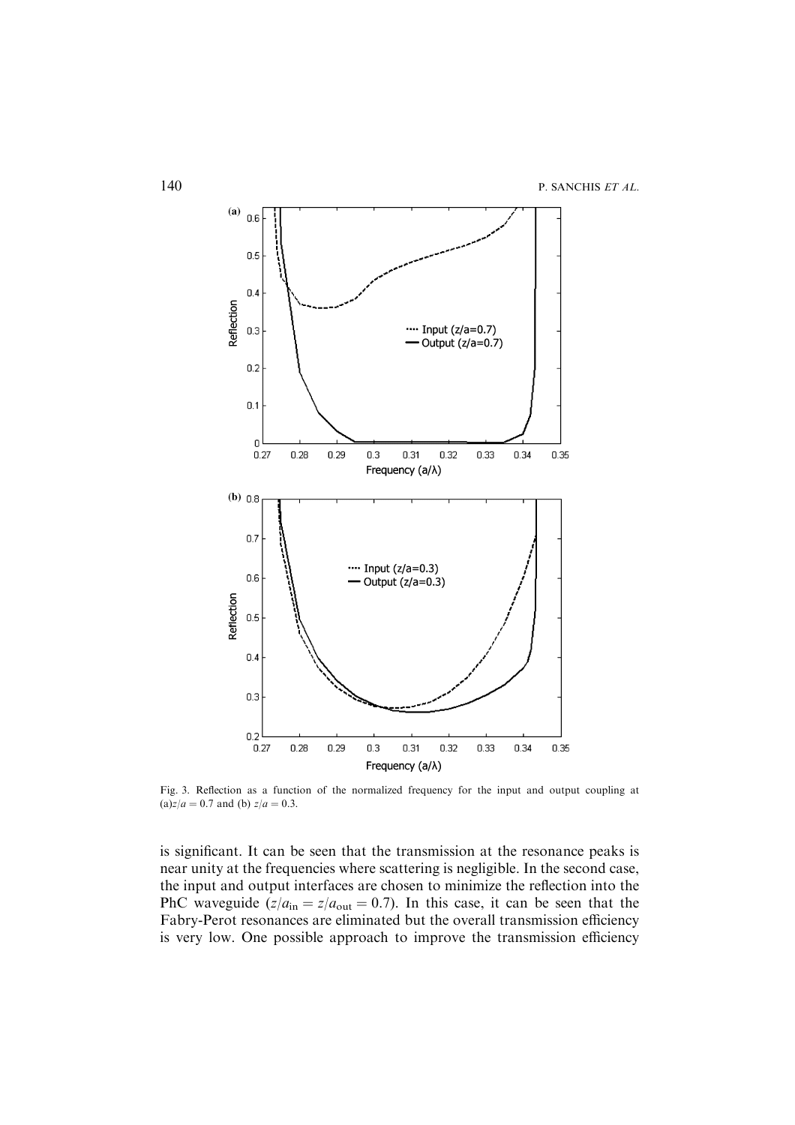

Fig. 3. Reflection as a function of the normalized frequency for the input and output coupling at (a) $z/a = 0.7$  and (b)  $z/a = 0.3$ .

is significant. It can be seen that the transmission at the resonance peaks is near unity at the frequencies where scattering is negligible. In the second case, the input and output interfaces are chosen to minimize the reflection into the PhC waveguide  $(z/a_{\rm in} = z/a_{\rm out} = 0.7)$ . In this case, it can be seen that the Fabry-Perot resonances are eliminated but the overall transmission efficiency is very low. One possible approach to improve the transmission efficiency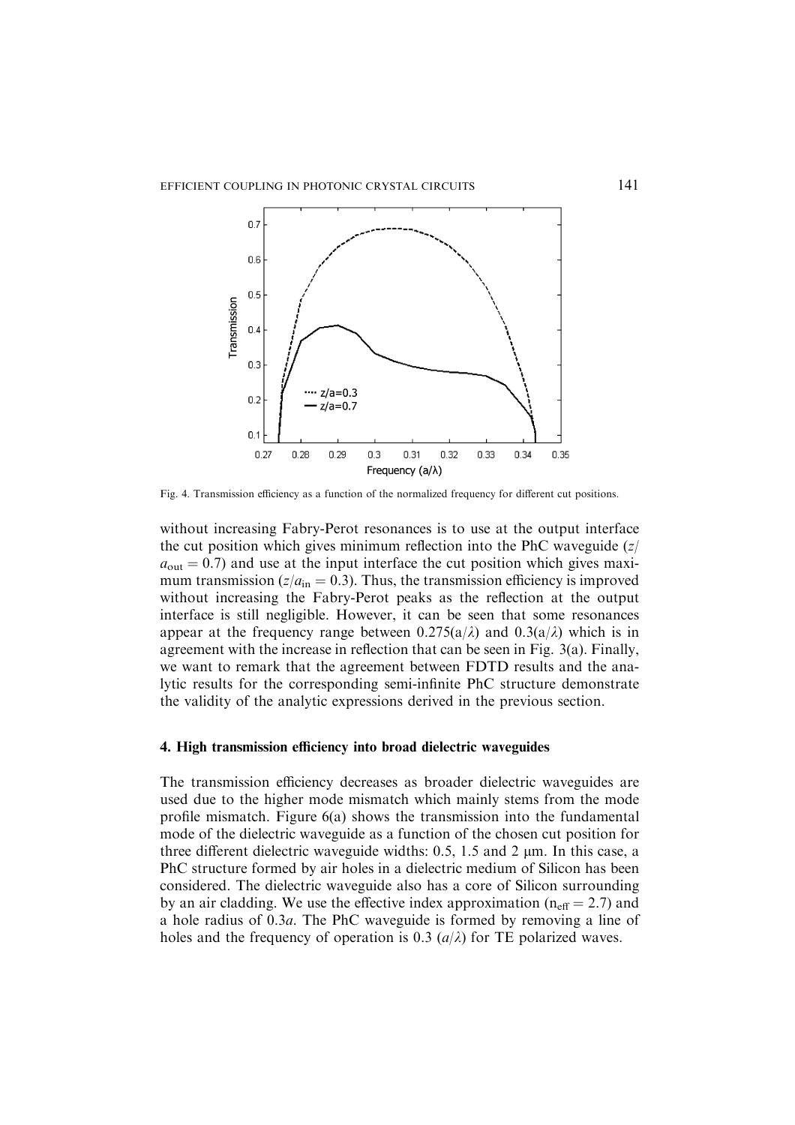

Fig. 4. Transmission efficiency as a function of the normalized frequency for different cut positions.

without increasing Fabry-Perot resonances is to use at the output interface the cut position which gives minimum reflection into the PhC waveguide  $\left(\frac{z}{\overline{z}}\right)$  $a<sub>out</sub> = 0.7$  and use at the input interface the cut position which gives maximum transmission ( $z/a_{\rm in} = 0.3$ ). Thus, the transmission efficiency is improved without increasing the Fabry-Perot peaks as the reflection at the output interface is still negligible. However, it can be seen that some resonances appear at the frequency range between  $0.275(a/\lambda)$  and  $0.3(a/\lambda)$  which is in agreement with the increase in reflection that can be seen in Fig. 3(a). Finally, we want to remark that the agreement between FDTD results and the analytic results for the corresponding semi-infinite PhC structure demonstrate the validity of the analytic expressions derived in the previous section.

# 4. High transmission efficiency into broad dielectric waveguides

The transmission efficiency decreases as broader dielectric waveguides are used due to the higher mode mismatch which mainly stems from the mode profile mismatch. Figure  $6(a)$  shows the transmission into the fundamental mode of the dielectric waveguide as a function of the chosen cut position for three different dielectric waveguide widths:  $0.5$ ,  $1.5$  and  $2 \mu$ m. In this case, a PhC structure formed by air holes in a dielectric medium of Silicon has been considered. The dielectric waveguide also has a core of Silicon surrounding by an air cladding. We use the effective index approximation ( $n_{\text{eff}} = 2.7$ ) and a hole radius of 0.3a. The PhC waveguide is formed by removing a line of holes and the frequency of operation is 0.3  $(a/\lambda)$  for TE polarized waves.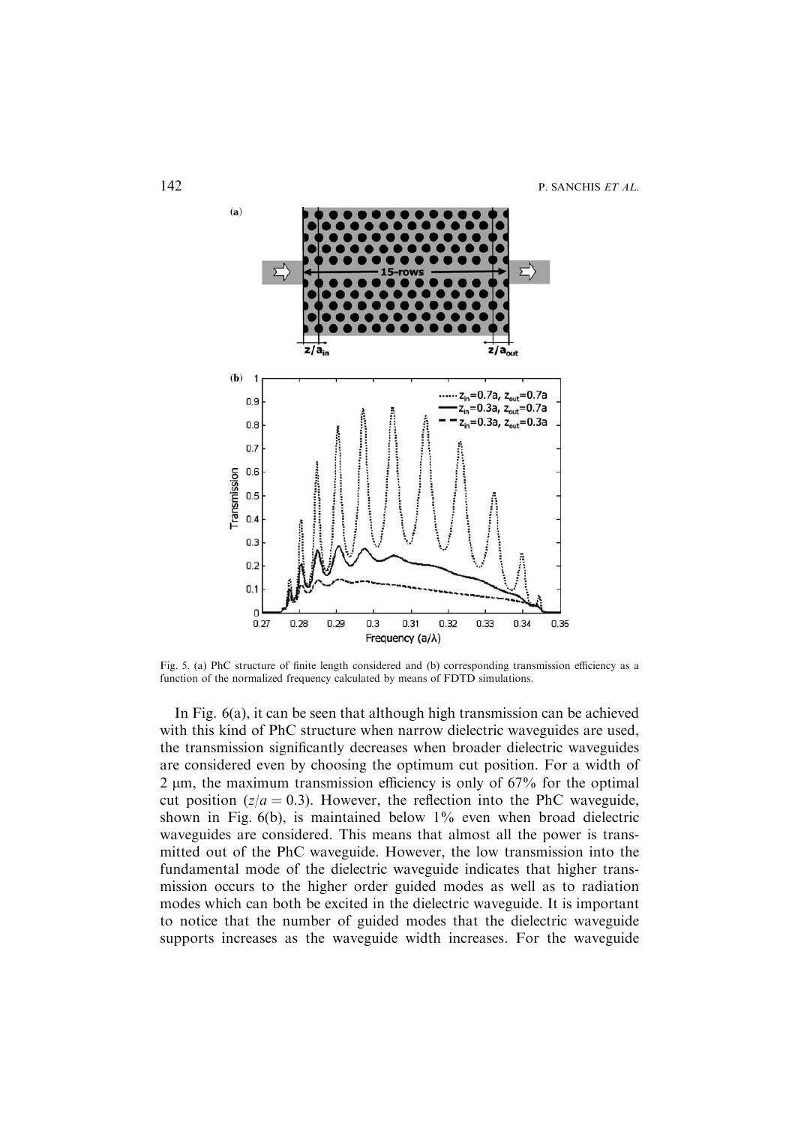

Fig. 5. (a) PhC structure of finite length considered and (b) corresponding transmission efficiency as a function of the normalized frequency calculated by means of FDTD simulations.

In Fig. 6(a), it can be seen that although high transmission can be achieved with this kind of PhC structure when narrow dielectric waveguides are used, the transmission significantly decreases when broader dielectric waveguides are considered even by choosing the optimum cut position. For a width of 2 lm, the maximum transmission efficiency is only of 67% for the optimal cut position ( $z/a = 0.3$ ). However, the reflection into the PhC waveguide, shown in Fig.  $6(b)$ , is maintained below  $1\%$  even when broad dielectric waveguides are considered. This means that almost all the power is transmitted out of the PhC waveguide. However, the low transmission into the fundamental mode of the dielectric waveguide indicates that higher transmission occurs to the higher order guided modes as well as to radiation modes which can both be excited in the dielectric waveguide. It is important to notice that the number of guided modes that the dielectric waveguide supports increases as the waveguide width increases. For the waveguide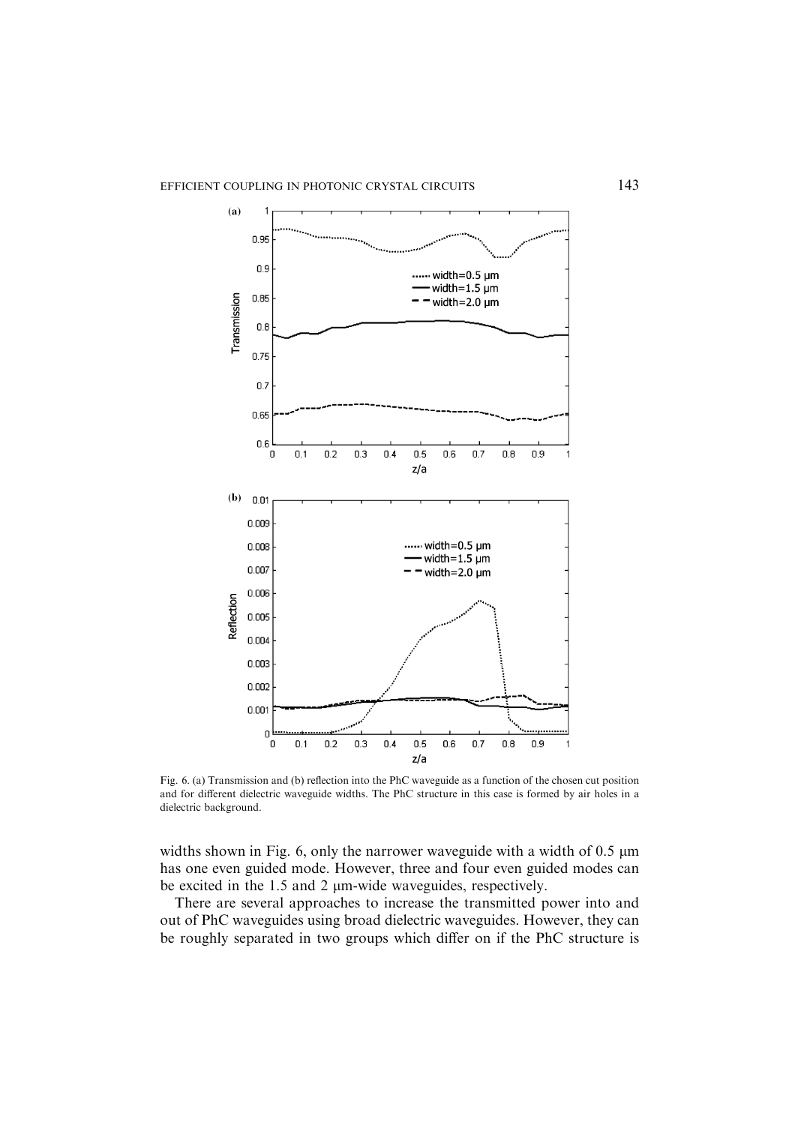

Fig. 6. (a) Transmission and (b) reflection into the PhC waveguide as a function of the chosen cut position and for different dielectric waveguide widths. The PhC structure in this case is formed by air holes in a dielectric background.

widths shown in Fig. 6, only the narrower waveguide with a width of  $0.5 \mu m$ has one even guided mode. However, three and four even guided modes can be excited in the 1.5 and 2 µm-wide waveguides, respectively.

There are several approaches to increase the transmitted power into and out of PhC waveguides using broad dielectric waveguides. However, they can be roughly separated in two groups which differ on if the PhC structure is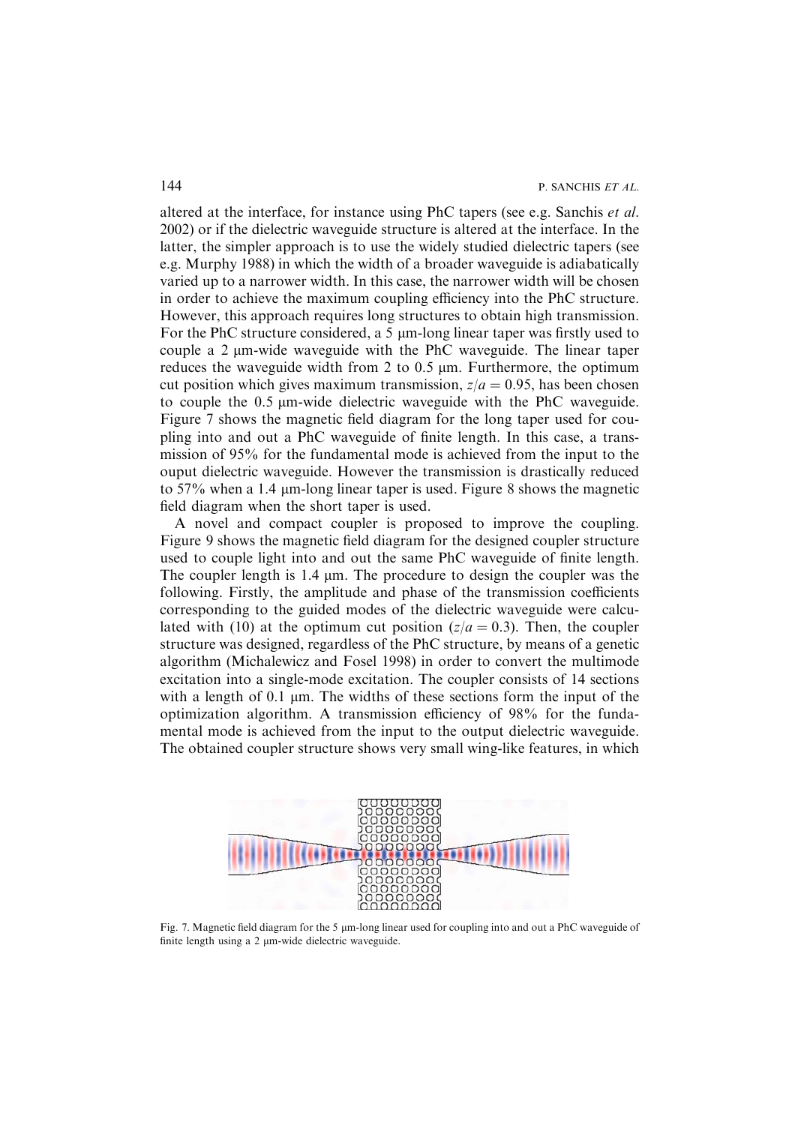altered at the interface, for instance using PhC tapers (see e.g. Sanchis et al. 2002) or if the dielectric waveguide structure is altered at the interface. In the latter, the simpler approach is to use the widely studied dielectric tapers (see e.g. Murphy 1988) in which the width of a broader waveguide is adiabatically varied up to a narrower width. In this case, the narrower width will be chosen in order to achieve the maximum coupling efficiency into the PhC structure. However, this approach requires long structures to obtain high transmission. For the PhC structure considered, a 5 um-long linear taper was firstly used to couple a  $2 \mu m$ -wide waveguide with the PhC waveguide. The linear taper reduces the waveguide width from 2 to  $0.5 \mu m$ . Furthermore, the optimum cut position which gives maximum transmission,  $z/a = 0.95$ , has been chosen to couple the 0.5  $\mu$ m-wide dielectric waveguide with the PhC waveguide. Figure 7 shows the magnetic field diagram for the long taper used for coupling into and out a PhC waveguide of finite length. In this case, a transmission of 95% for the fundamental mode is achieved from the input to the ouput dielectric waveguide. However the transmission is drastically reduced to 57% when a 1.4 µm-long linear taper is used. Figure 8 shows the magnetic field diagram when the short taper is used.

A novel and compact coupler is proposed to improve the coupling. Figure 9 shows the magnetic field diagram for the designed coupler structure used to couple light into and out the same PhC waveguide of finite length. The coupler length is 1.4  $\mu$ m. The procedure to design the coupler was the following. Firstly, the amplitude and phase of the transmission coefficients corresponding to the guided modes of the dielectric waveguide were calculated with (10) at the optimum cut position ( $z/a = 0.3$ ). Then, the coupler structure was designed, regardless of the PhC structure, by means of a genetic algorithm (Michalewicz and Fosel 1998) in order to convert the multimode excitation into a single-mode excitation. The coupler consists of 14 sections with a length of 0.1  $\mu$ m. The widths of these sections form the input of the optimization algorithm. A transmission efficiency of 98% for the fundamental mode is achieved from the input to the output dielectric waveguide. The obtained coupler structure shows very small wing-like features, in which



Fig. 7. Magnetic field diagram for the 5  $\mu$ m-long linear used for coupling into and out a PhC waveguide of finite length using a 2 µm-wide dielectric waveguide.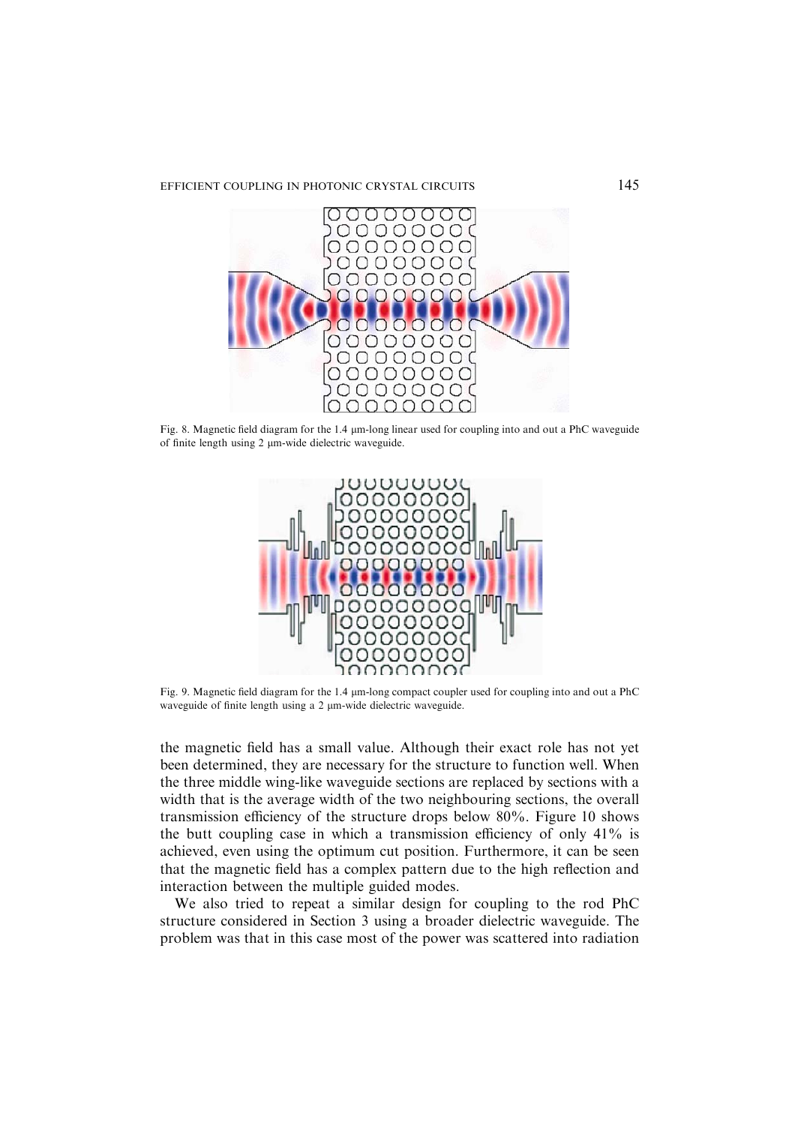# EFFICIENT COUPLING IN PHOTONIC CRYSTAL CIRCUITS 145



Fig. 8. Magnetic field diagram for the 1.4 µm-long linear used for coupling into and out a PhC waveguide of finite length using 2 µm-wide dielectric waveguide.



Fig. 9. Magnetic field diagram for the 1.4 lm-long compact coupler used for coupling into and out a PhC waveguide of finite length using a 2 µm-wide dielectric waveguide.

the magnetic field has a small value. Although their exact role has not yet been determined, they are necessary for the structure to function well. When the three middle wing-like waveguide sections are replaced by sections with a width that is the average width of the two neighbouring sections, the overall transmission efficiency of the structure drops below 80%. Figure 10 shows the butt coupling case in which a transmission efficiency of only 41% is achieved, even using the optimum cut position. Furthermore, it can be seen that the magnetic field has a complex pattern due to the high reflection and interaction between the multiple guided modes.

We also tried to repeat a similar design for coupling to the rod PhC structure considered in Section 3 using a broader dielectric waveguide. The problem was that in this case most of the power was scattered into radiation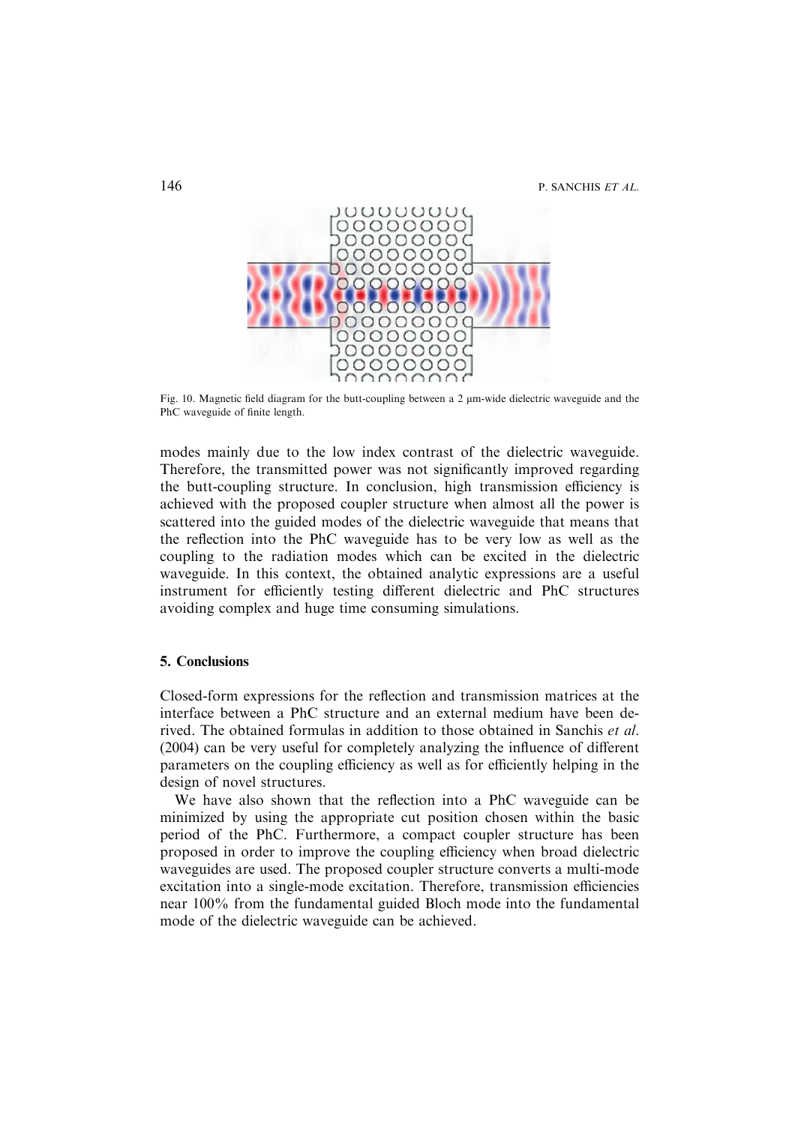146 P. SANCHIS ET AL.



Fig. 10. Magnetic field diagram for the butt-coupling between a 2  $\mu$ m-wide dielectric waveguide and the PhC waveguide of finite length.

modes mainly due to the low index contrast of the dielectric waveguide. Therefore, the transmitted power was not significantly improved regarding the butt-coupling structure. In conclusion, high transmission efficiency is achieved with the proposed coupler structure when almost all the power is scattered into the guided modes of the dielectric waveguide that means that the reflection into the PhC waveguide has to be very low as well as the coupling to the radiation modes which can be excited in the dielectric waveguide. In this context, the obtained analytic expressions are a useful instrument for efficiently testing different dielectric and PhC structures avoiding complex and huge time consuming simulations.

# 5. Conclusions

Closed-form expressions for the reflection and transmission matrices at the interface between a PhC structure and an external medium have been derived. The obtained formulas in addition to those obtained in Sanchis et al. (2004) can be very useful for completely analyzing the influence of different parameters on the coupling efficiency as well as for efficiently helping in the design of novel structures.

We have also shown that the reflection into a PhC waveguide can be minimized by using the appropriate cut position chosen within the basic period of the PhC. Furthermore, a compact coupler structure has been proposed in order to improve the coupling efficiency when broad dielectric waveguides are used. The proposed coupler structure converts a multi-mode excitation into a single-mode excitation. Therefore, transmission efficiencies near 100% from the fundamental guided Bloch mode into the fundamental mode of the dielectric waveguide can be achieved.